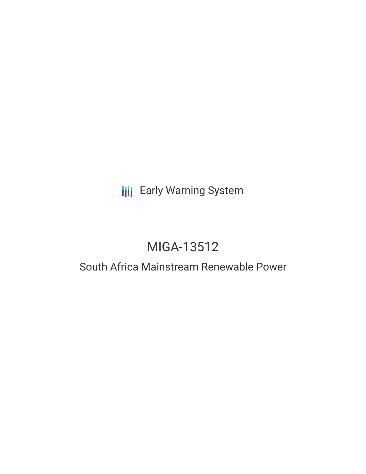## **III** Early Warning System

# MIGA-13512

## South Africa Mainstream Renewable Power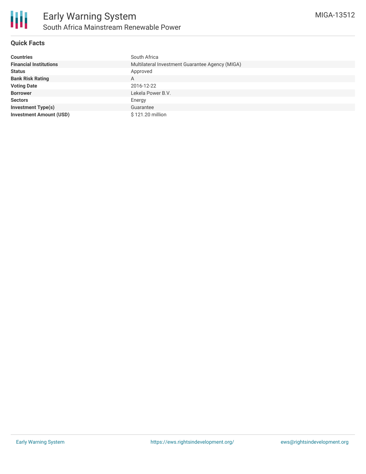### **Quick Facts**

| <b>Countries</b>               | South Africa                                    |
|--------------------------------|-------------------------------------------------|
| <b>Financial Institutions</b>  | Multilateral Investment Guarantee Agency (MIGA) |
| <b>Status</b>                  | Approved                                        |
| <b>Bank Risk Rating</b>        | A                                               |
| <b>Voting Date</b>             | 2016-12-22                                      |
| <b>Borrower</b>                | Lekela Power B.V.                               |
| <b>Sectors</b>                 | Energy                                          |
| <b>Investment Type(s)</b>      | Guarantee                                       |
| <b>Investment Amount (USD)</b> | \$121.20 million                                |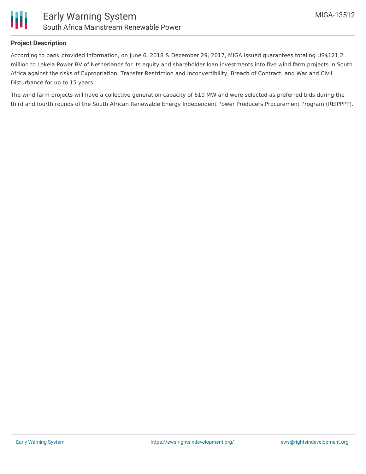

### **Project Description**

According to bank provided information, on June 6, 2018 & December 29, 2017, MIGA issued guarantees totaling US\$121.2 million to Lekela Power BV of Netherlands for its equity and shareholder loan investments into five wind farm projects in South Africa against the risks of Expropriation, Transfer Restriction and Inconvertibility, Breach of Contract, and War and Civil Disturbance for up to 15 years.

The wind farm projects will have a collective generation capacity of 610 MW and were selected as preferred bids during the third and fourth rounds of the South African Renewable Energy Independent Power Producers Procurement Program (REIPPPP).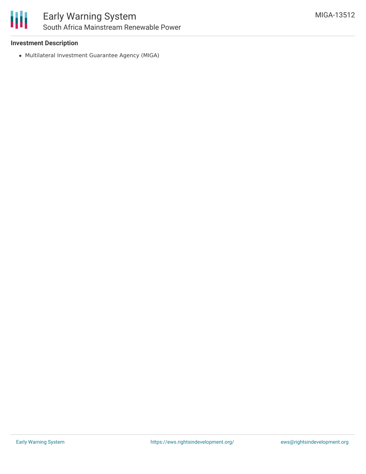

### Early Warning System South Africa Mainstream Renewable Power

### **Investment Description**

Multilateral Investment Guarantee Agency (MIGA)